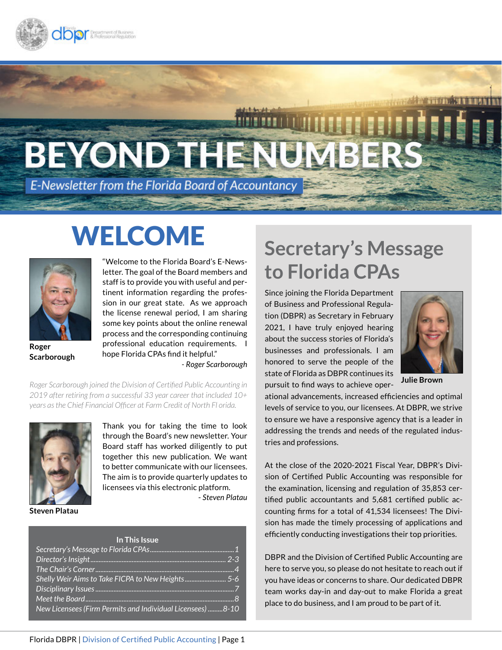

# BEYOND THEN 4131

E-Newsletter from the Florida Board of Accountancy

# WELCOME



**Scarborough**

"Welcome to the Florida Board's E-Newsletter. The goal of the Board members and staff is to provide you with useful and pertinent information regarding the profession in our great state. As we approach the license renewal period, I am sharing some key points about the online renewal process and the corresponding continuing professional education requirements. I hope Florida CPAs find it helpful."

*- Roger Scarborough*

*Roger Scarborough joined the Division of Certified Public Accounting in 2019 after retiring from a successful 33 year career that included 10+ years as the Chief Financial Officer at Farm Credit of North Fl orida.*



Thank you for taking the time to look through the Board's new newsletter. Your Board staff has worked diligently to put together this new publication. We want to better communicate with our licensees. The aim is to provide quarterly updates to licensees via this electronic platform. - *Steven Platau*

**Steven Platau**

| In This Issue                                              |
|------------------------------------------------------------|
|                                                            |
|                                                            |
|                                                            |
| Shelly Weir Aims to Take FICPA to New Heights5-6           |
|                                                            |
|                                                            |
| New Licensees (Firm Permits and Individual Licensees) 8-10 |

### **Secretary's Message to Florida CPAs**

Since joining the Florida Department of Business and Professional Regulation (DBPR) as Secretary in February 2021, I have truly enjoyed hearing about the success stories of Florida's businesses and professionals. I am honored to serve the people of the state of Florida as DBPR continues its pursuit to find ways to achieve oper-



**Julie Brown**

ational advancements, increased efficiencies and optimal levels of service to you, our licensees. At DBPR, we strive to ensure we have a responsive agency that is a leader in addressing the trends and needs of the regulated industries and professions.

At the close of the 2020-2021 Fiscal Year, DBPR's Division of Certified Public Accounting was responsible for the examination, licensing and regulation of 35,853 certified public accountants and 5,681 certified public accounting firms for a total of 41,534 licensees! The Division has made the timely processing of applications and efficiently conducting investigations their top priorities.

DBPR and the Division of Certified Public Accounting are here to serve you, so please do not hesitate to reach out if you have ideas or concerns to share. Our dedicated DBPR team works day-in and day-out to make Florida a great place to do business, and I am proud to be part of it.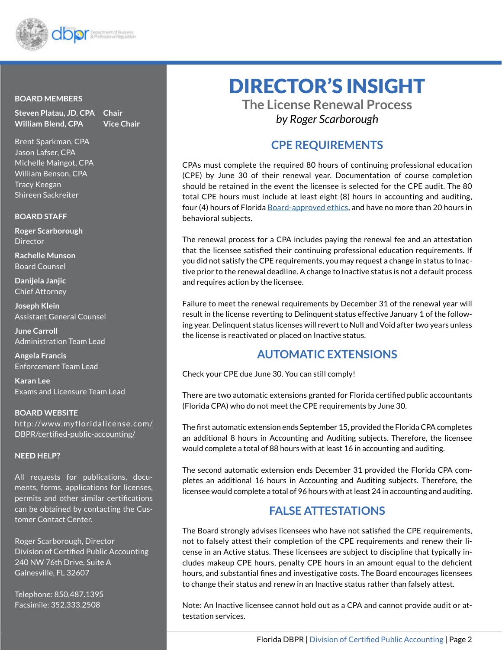

#### **BOARD MEMBERS**

**Steven Platau, JD, CPA Chair William Blend, CPA Vice Chair**

Brent Sparkman, CPA Jason Lafser, CPA Michelle Maingot, CPA William Benson, CPA Tracy Keegan Shireen Sackreiter

#### **BOARD STAFF**

**Roger Scarborough Director** 

**Rachelle Munson** Board Counsel

**Danijela Janjic** Chief Attorney

**Joseph Klein** Assistant General Counsel

**June Carroll** Administration Team Lead

**Angela Francis** Enforcement Team Lead

**Karan Lee** Exams and Licensure Team Lead

**BOARD WEBSITE** http://www.myfloridalicense.com/ DBPR/certified-public-accounting/

#### **NEED HELP?**

All requests for publications, documents, forms, applications for licenses, permits and other similar certifications can be obtained by contacting the Customer Contact Center.

Roger Scarborough, Director Division of Certified Public Accounting 240 NW 76th Drive, Suite A Gainesville, FL 32607

Telephone: 850.487.1395 Facsimile: 352.333.2508

### DIRECTOR'S INSIGHT

**The License Renewal Process** *by Roger Scarborough*

### **CPE REQUIREMENTS**

CPAs must complete the required 80 hours of continuing professional education (CPE) by June 30 of their renewal year. Documentation of course completion should be retained in the event the licensee is selected for the CPE audit. The 80 total CPE hours must include at least eight (8) hours in accounting and auditing, four (4) hours of Florida Board-approved ethics, and have no more than 20 hours in behavioral subjects.

The renewal process for a CPA includes paying the renewal fee and an attestation that the licensee satisfied their continuing professional education requirements. If you did not satisfy the CPE requirements, you may request a change in status to Inactive prior to the renewal deadline. A change to Inactive status is not a default process and requires action by the licensee.

Failure to meet the renewal requirements by December 31 of the renewal year will result in the license reverting to Delinquent status effective January 1 of the following year. Delinquent status licenses will revert to Null and Void after two years unless the license is reactivated or placed on Inactive status.

#### **AUTOMATIC EXTENSIONS**

Check your CPE due June 30. You can still comply!

There are two automatic extensions granted for Florida certified public accountants (Florida CPA) who do not meet the CPE requirements by June 30.

The first automatic extension ends September 15, provided the Florida CPA completes an additional 8 hours in Accounting and Auditing subjects. Therefore, the licensee would complete a total of 88 hours with at least 16 in accounting and auditing.

The second automatic extension ends December 31 provided the Florida CPA completes an additional 16 hours in Accounting and Auditing subjects. Therefore, the licensee would complete a total of 96 hours with at least 24 in accounting and auditing.

### **FALSE ATTESTATIONS**

The Board strongly advises licensees who have not satisfied the CPE requirements, not to falsely attest their completion of the CPE requirements and renew their license in an Active status. These licensees are subject to discipline that typically includes makeup CPE hours, penalty CPE hours in an amount equal to the deficient hours, and substantial fines and investigative costs. The Board encourages licensees to change their status and renew in an Inactive status rather than falsely attest.

Note: An Inactive licensee cannot hold out as a CPA and cannot provide audit or attestation services.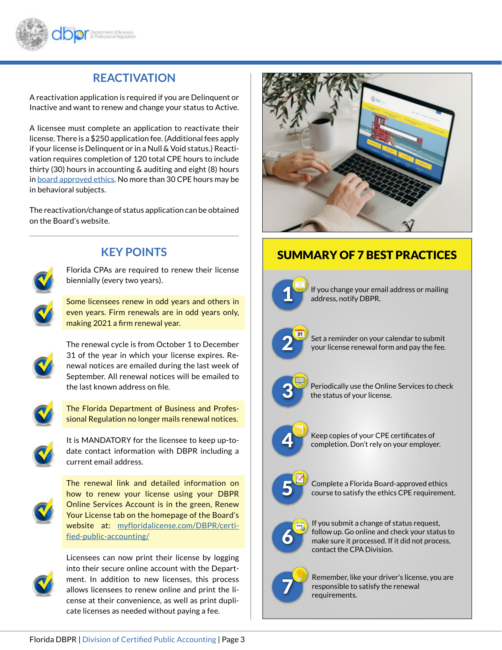

### **REACTIVATION**

A reactivation application is required if you are Delinquent or Inactive and want to renew and change your status to Active.

A licensee must complete an application to reactivate their license. There is a \$250 application fee. (Additional fees apply if your license is Delinquent or in a Null & Void status.) Reactivation requires completion of 120 total CPE hours to include thirty (30) hours in accounting & auditing and eight (8) hours in board approved ethics. No more than 30 CPE hours may be in behavioral subjects.

The reactivation/change of status application can be obtained on the Board's website.



#### **KEY POINTS**

Florida CPAs are required to renew their license biennially (every two years).

Some licensees renew in odd years and others in even years. Firm renewals are in odd years only, making 2021 a firm renewal year.



The renewal cycle is from October 1 to December 31 of the year in which your license expires. Renewal notices are emailed during the last week of September. All renewal notices will be emailed to the last known address on file.



The Florida Department of Business and Professional Regulation no longer mails renewal notices.



It is MANDATORY for the licensee to keep up-todate contact information with DBPR including a current email address.



The renewal link and detailed information on how to renew your license using your DBPR Online Services Account is in the green, Renew Your License tab on the homepage of the Board's website at: myfloridalicense.com/DBPR/certified-public-accounting/



Licensees can now print their license by logging into their secure online account with the Department. In addition to new licenses, this process allows licensees to renew online and print the license at their convenience, as well as print duplicate licenses as needed without paying a fee.



### SUMMARY OF 7 BEST PRACTICES



If you change your email address or mailing address, notify DBPR.



Set a reminder on your calendar to submit your license renewal form and pay the fee.



Periodically use the Online Services to check the status of your license.



Keep copies of your CPE certificates of completion. Don't rely on your employer.



Complete a Florida Board-approved ethics course to satisfy the ethics CPE requirement.



If you submit a change of status request, follow up. Go online and check your status to make sure it processed. If it did not process, contact the CPA Division.



Remember, like your driver's license, you are responsible to satisfy the renewal requirements.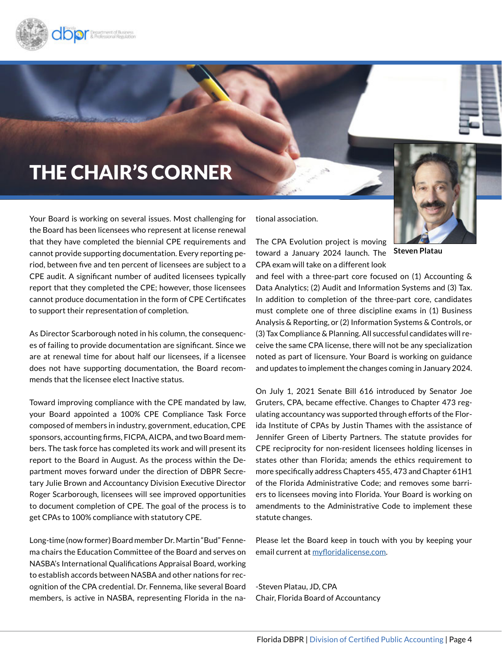<span id="page-3-0"></span>

### THE CHAIR'S CORNER

Your Board is working on several issues. Most challenging for the Board has been licensees who represent at license renewal that they have completed the biennial CPE requirements and cannot provide supporting documentation. Every reporting period, between five and ten percent of licensees are subject to a CPE audit. A significant number of audited licensees typically report that they completed the CPE; however, those licensees cannot produce documentation in the form of CPE Certificates to support their representation of completion.

As Director Scarborough noted in his column, the consequences of failing to provide documentation are significant. Since we are at renewal time for about half our licensees, if a licensee does not have supporting documentation, the Board recommends that the licensee elect Inactive status.

Toward improving compliance with the CPE mandated by law, your Board appointed a 100% CPE Compliance Task Force composed of members in industry, government, education, CPE sponsors, accounting firms, FICPA, AICPA, and two Board members. The task force has completed its work and will present its report to the Board in August. As the process within the Department moves forward under the direction of DBPR Secretary Julie Brown and Accountancy Division Executive Director Roger Scarborough, licensees will see improved opportunities to document completion of CPE. The goal of the process is to get CPAs to 100% compliance with statutory CPE.

Long-time (now former) Board member Dr. Martin "Bud" Fennema chairs the Education Committee of the Board and serves on NASBA's International Qualifications Appraisal Board, working to establish accords between NASBA and other nations for recognition of the CPA credential. Dr. Fennema, like several Board members, is active in NASBA, representing Florida in the national association.

The CPA Evolution project is moving toward a January 2024 launch. The **Steven Platau** CPA exam will take on a different look

and feel with a three-part core focused on (1) Accounting & Data Analytics; (2) Audit and Information Systems and (3) Tax. In addition to completion of the three-part core, candidates must complete one of three discipline exams in (1) Business Analysis & Reporting, or (2) Information Systems & Controls, or (3) Tax Compliance & Planning. All successful candidates will receive the same CPA license, there will not be any specialization noted as part of licensure. Your Board is working on guidance and updates to implement the changes coming in January 2024.

On July 1, 2021 Senate Bill 616 introduced by Senator Joe Gruters, CPA, became effective. Changes to Chapter 473 regulating accountancy was supported through efforts of the Florida Institute of CPAs by Justin Thames with the assistance of Jennifer Green of Liberty Partners. The statute provides for CPE reciprocity for non-resident licensees holding licenses in states other than Florida; amends the ethics requirement to more specifically address Chapters 455, 473 and Chapter 61H1 of the Florida Administrative Code; and removes some barriers to licensees moving into Florida. Your Board is working on amendments to the Administrative Code to implement these statute changes.

Please let the Board keep in touch with you by keeping your email current at myfloridalicense.com.

-Steven Platau, JD, CPA Chair, Florida Board of Accountancy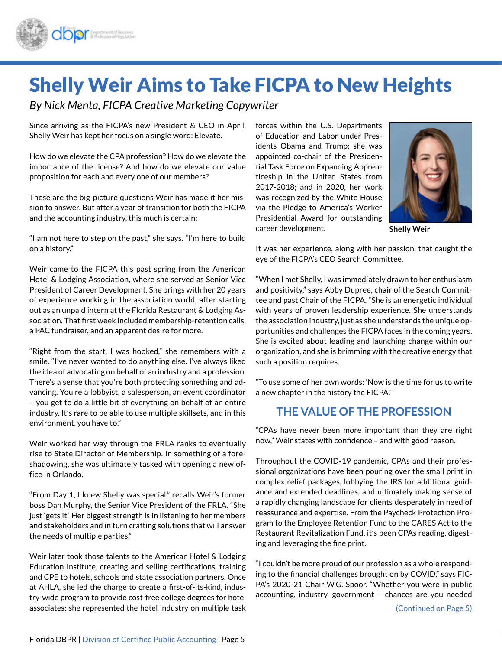<span id="page-4-0"></span>

### Shelly Weir Aims to Take FICPA to New Heights

*By Nick Menta, FICPA Creative Marketing Copywriter*

Since arriving as the FICPA's new President & CEO in April, Shelly Weir has kept her focus on a single word: Elevate.

How do we elevate the CPA profession? How do we elevate the importance of the license? And how do we elevate our value proposition for each and every one of our members?

These are the big-picture questions Weir has made it her mission to answer. But after a year of transition for both the FICPA and the accounting industry, this much is certain:

"I am not here to step on the past," she says. "I'm here to build on a history."

Weir came to the FICPA this past spring from the American Hotel & Lodging Association, where she served as Senior Vice President of Career Development. She brings with her 20 years of experience working in the association world, after starting out as an unpaid intern at the Florida Restaurant & Lodging Association. That first week included membership-retention calls, a PAC fundraiser, and an apparent desire for more.

"Right from the start, I was hooked," she remembers with a smile. "I've never wanted to do anything else. I've always liked the idea of advocating on behalf of an industry and a profession. There's a sense that you're both protecting something and advancing. You're a lobbyist, a salesperson, an event coordinator – you get to do a little bit of everything on behalf of an entire industry. It's rare to be able to use multiple skillsets, and in this environment, you have to."

Weir worked her way through the FRLA ranks to eventually rise to State Director of Membership. In something of a foreshadowing, she was ultimately tasked with opening a new office in Orlando.

"From Day 1, I knew Shelly was special," recalls Weir's former boss Dan Murphy, the Senior Vice President of the FRLA. "She just 'gets it.' Her biggest strength is in listening to her members and stakeholders and in turn crafting solutions that will answer the needs of multiple parties."

Weir later took those talents to the American Hotel & Lodging Education Institute, creating and selling certifications, training and CPE to hotels, schools and state association partners. Once at AHLA, she led the charge to create a first-of-its-kind, industry-wide program to provide cost-free college degrees for hotel associates; she represented the hotel industry on multiple task

forces within the U.S. Departments of Education and Labor under Presidents Obama and Trump; she was appointed co-chair of the Presidential Task Force on Expanding Apprenticeship in the United States from 2017-2018; and in 2020, her work was recognized by the White House via the Pledge to America's Worker Presidential Award for outstanding career development.



**Shelly Weir**

It was her experience, along with her passion, that caught the eye of the FICPA's CEO Search Committee.

"When I met Shelly, I was immediately drawn to her enthusiasm and positivity," says Abby Dupree, chair of the Search Committee and past Chair of the FICPA. "She is an energetic individual with years of proven leadership experience. She understands the association industry, just as she understands the unique opportunities and challenges the FICPA faces in the coming years. She is excited about leading and launching change within our organization, and she is brimming with the creative energy that such a position requires.

"To use some of her own words: 'Now is the time for us to write a new chapter in the history the FICPA.'"

### **THE VALUE OF THE PROFESSION**

"CPAs have never been more important than they are right now," Weir states with confidence – and with good reason.

Throughout the COVID-19 pandemic, CPAs and their professional organizations have been pouring over the small print in complex relief packages, lobbying the IRS for additional guidance and extended deadlines, and ultimately making sense of a rapidly changing landscape for clients desperately in need of reassurance and expertise. From the Paycheck Protection Program to the Employee Retention Fund to the CARES Act to the Restaurant Revitalization Fund, it's been CPAs reading, digesting and leveraging the fine print.

"I couldn't be more proud of our profession as a whole responding to the financial challenges brought on by COVID," says FIC-PA's 2020-21 Chair W.G. Spoor. "Whether you were in public accounting, industry, government – chances are you needed

(Continued on Page 5)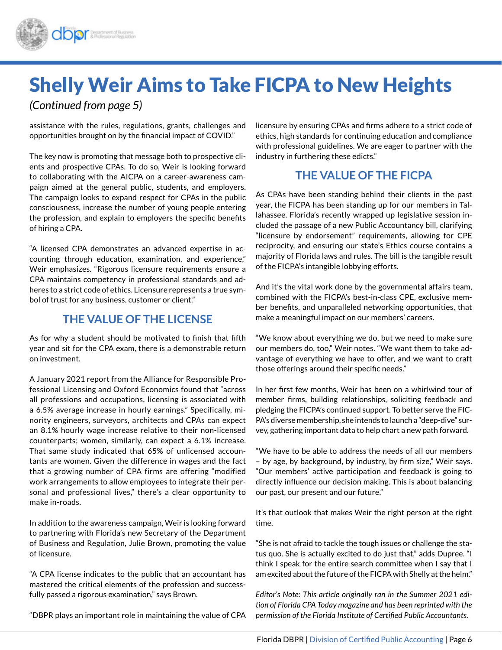# Shelly Weir Aims to Take FICPA to New Heights

*(Continued from page 5)*

assistance with the rules, regulations, grants, challenges and opportunities brought on by the financial impact of COVID."

The key now is promoting that message both to prospective clients and prospective CPAs. To do so, Weir is looking forward to collaborating with the AICPA on a career-awareness campaign aimed at the general public, students, and employers. The campaign looks to expand respect for CPAs in the public consciousness, increase the number of young people entering the profession, and explain to employers the specific benefits of hiring a CPA.

"A licensed CPA demonstrates an advanced expertise in accounting through education, examination, and experience," Weir emphasizes. "Rigorous licensure requirements ensure a CPA maintains competency in professional standards and adheres to a strict code of ethics. Licensure represents a true symbol of trust for any business, customer or client."

#### **THE VALUE OF THE LICENSE**

As for why a student should be motivated to finish that fifth year and sit for the CPA exam, there is a demonstrable return on investment.

A January 2021 report from the Alliance for Responsible Professional Licensing and Oxford Economics found that "across all professions and occupations, licensing is associated with a 6.5% average increase in hourly earnings." Specifically, minority engineers, surveyors, architects and CPAs can expect an 8.1% hourly wage increase relative to their non-licensed counterparts; women, similarly, can expect a 6.1% increase. That same study indicated that 65% of unlicensed accountants are women. Given the difference in wages and the fact that a growing number of CPA firms are offering "modified work arrangements to allow employees to integrate their personal and professional lives," there's a clear opportunity to make in-roads.

In addition to the awareness campaign, Weir is looking forward to partnering with Florida's new Secretary of the Department of Business and Regulation, Julie Brown, promoting the value of licensure.

"A CPA license indicates to the public that an accountant has mastered the critical elements of the profession and successfully passed a rigorous examination," says Brown.

"DBPR plays an important role in maintaining the value of CPA

licensure by ensuring CPAs and firms adhere to a strict code of ethics, high standards for continuing education and compliance with professional guidelines. We are eager to partner with the industry in furthering these edicts."

### **THE VALUE OF THE FICPA**

As CPAs have been standing behind their clients in the past year, the FICPA has been standing up for our members in Tallahassee. Florida's recently wrapped up legislative session included the passage of a new Public Accountancy bill, clarifying "licensure by endorsement" requirements, allowing for CPE reciprocity, and ensuring our state's Ethics course contains a majority of Florida laws and rules. The bill is the tangible result of the FICPA's intangible lobbying efforts.

And it's the vital work done by the governmental affairs team, combined with the FICPA's best-in-class CPE, exclusive member benefits, and unparalleled networking opportunities, that make a meaningful impact on our members' careers.

"We know about everything we do, but we need to make sure our members do, too," Weir notes. "We want them to take advantage of everything we have to offer, and we want to craft those offerings around their specific needs."

In her first few months, Weir has been on a whirlwind tour of member firms, building relationships, soliciting feedback and pledging the FICPA's continued support. To better serve the FIC-PA's diverse membership, she intends to launch a "deep-dive" survey, gathering important data to help chart a new path forward.

"We have to be able to address the needs of all our members – by age, by background, by industry, by firm size," Weir says. "Our members' active participation and feedback is going to directly influence our decision making. This is about balancing our past, our present and our future."

It's that outlook that makes Weir the right person at the right time.

"She is not afraid to tackle the tough issues or challenge the status quo. She is actually excited to do just that," adds Dupree. "I think I speak for the entire search committee when I say that I am excited about the future of the FICPA with Shelly at the helm."

*Editor's Note: This article originally ran in the Summer 2021 edition of Florida CPA Today magazine and has been reprinted with the permission of the Florida Institute of Certified Public Accountants.*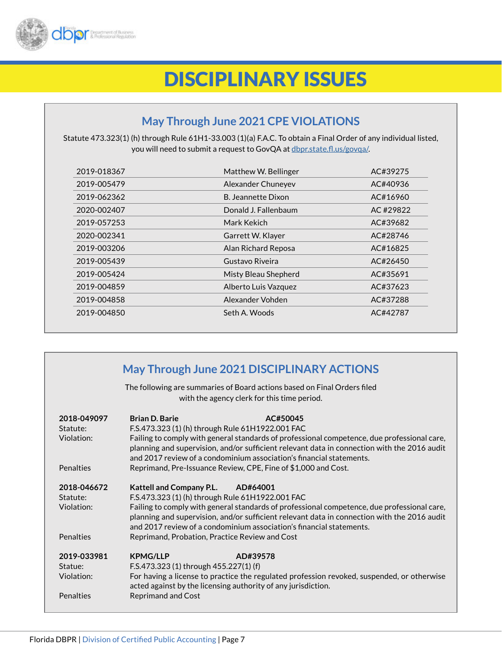<span id="page-6-0"></span>

### DISCIPLINARY ISSUES

### **May Through June 2021 CPE VIOLATIONS**

Statute 473.323(1) (h) through Rule 61H1-33.003 (1)(a) F.A.C. To obtain a Final Order of any individual listed, you will need to submit a request to GovQA at dbpr.state.fl.us/govqa/.

| 2019-018367 | Matthew W. Bellinger | AC#39275 |
|-------------|----------------------|----------|
| 2019-005479 | Alexander Chuneyev   | AC#40936 |
| 2019-062362 | B. Jeannette Dixon   | AC#16960 |
| 2020-002407 | Donald J. Fallenbaum | AC#29822 |
| 2019-057253 | Mark Kekich          | AC#39682 |
| 2020-002341 | Garrett W. Klayer    | AC#28746 |
| 2019-003206 | Alan Richard Reposa  | AC#16825 |
| 2019-005439 | Gustavo Riveira      | AC#26450 |
| 2019-005424 | Misty Bleau Shepherd | AC#35691 |
| 2019-004859 | Alberto Luis Vazquez | AC#37623 |
| 2019-004858 | Alexander Vohden     | AC#37288 |
| 2019-004850 | Seth A. Woods        | AC#42787 |

|                                                           | May Through June 2021 DISCIPLINARY ACTIONS<br>The following are summaries of Board actions based on Final Orders filed                                                                                                                                                                                                                                                                                                  |
|-----------------------------------------------------------|-------------------------------------------------------------------------------------------------------------------------------------------------------------------------------------------------------------------------------------------------------------------------------------------------------------------------------------------------------------------------------------------------------------------------|
|                                                           | with the agency clerk for this time period.                                                                                                                                                                                                                                                                                                                                                                             |
| 2018-049097<br>Statute:<br>Violation:                     | <b>Brian D. Barie</b><br>AC#50045<br>F.S.473.323 (1) (h) through Rule 61H1922.001 FAC<br>Failing to comply with general standards of professional competence, due professional care,<br>planning and supervision, and/or sufficient relevant data in connection with the 2016 audit<br>and 2017 review of a condominium association's financial statements.                                                             |
| Penalties                                                 | Reprimand, Pre-Issuance Review, CPE, Fine of \$1,000 and Cost.                                                                                                                                                                                                                                                                                                                                                          |
| 2018-046672<br>Statute:<br>Violation:<br><b>Penalties</b> | <b>Kattell and Company P.L.</b><br>AD#64001<br>F.S.473.323 (1) (h) through Rule 61H1922.001 FAC<br>Failing to comply with general standards of professional competence, due professional care,<br>planning and supervision, and/or sufficient relevant data in connection with the 2016 audit<br>and 2017 review of a condominium association's financial statements.<br>Reprimand, Probation, Practice Review and Cost |
| 2019-033981<br>Statue:<br>Violation:<br><b>Penalties</b>  | <b>KPMG/LLP</b><br>AD#39578<br>F.S.473.323 (1) through 455.227(1) (f)<br>For having a license to practice the regulated profession revoked, suspended, or otherwise<br>acted against by the licensing authority of any jurisdiction.<br><b>Reprimand and Cost</b>                                                                                                                                                       |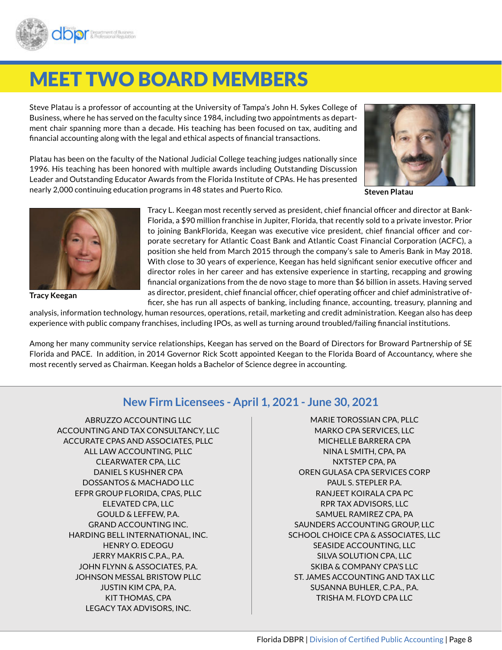<span id="page-7-0"></span>

## MEET TWO BOARD MEMBERS

Steve Platau is a professor of accounting at the University of Tampa's John H. Sykes College of Business, where he has served on the faculty since 1984, including two appointments as department chair spanning more than a decade. His teaching has been focused on tax, auditing and financial accounting along with the legal and ethical aspects of financial transactions.

Platau has been on the faculty of the National Judicial College teaching judges nationally since 1996. His teaching has been honored with multiple awards including Outstanding Discussion Leader and Outstanding Educator Awards from the Florida Institute of CPAs. He has presented nearly 2,000 continuing education programs in 48 states and Puerto Rico.



**Steven Platau**



**Tracy Keegan**

Tracy L. Keegan most recently served as president, chief financial officer and director at Bank-Florida, a \$90 million franchise in Jupiter, Florida, that recently sold to a private investor. Prior to joining BankFlorida, Keegan was executive vice president, chief financial officer and corporate secretary for Atlantic Coast Bank and Atlantic Coast Financial Corporation (ACFC), a position she held from March 2015 through the company's sale to Ameris Bank in May 2018. With close to 30 years of experience, Keegan has held significant senior executive officer and director roles in her career and has extensive experience in starting, recapping and growing financial organizations from the de novo stage to more than \$6 billion in assets. Having served as director, president, chief financial officer, chief operating officer and chief administrative officer, she has run all aspects of banking, including finance, accounting, treasury, planning and

analysis, information technology, human resources, operations, retail, marketing and credit administration. Keegan also has deep experience with public company franchises, including IPOs, as well as turning around troubled/failing financial institutions.

Among her many community service relationships, Keegan has served on the Board of Directors for Broward Partnership of SE Florida and PACE. In addition, in 2014 Governor Rick Scott appointed Keegan to the Florida Board of Accountancy, where she most recently served as Chairman. Keegan holds a Bachelor of Science degree in accounting.

#### **New Firm Licensees - April 1, 2021 - June 30, 2021**

ABRUZZO ACCOUNTING LLC ACCOUNTING AND TAX CONSULTANCY, LLC ACCURATE CPAS AND ASSOCIATES, PLLC ALL LAW ACCOUNTING, PLLC CLEARWATER CPA, LLC DANIEL S KUSHNER CPA DOSSANTOS & MACHADO LLC EFPR GROUP FLORIDA, CPAS, PLLC ELEVATED CPA, LLC GOULD & LEFFEW, P.A. GRAND ACCOUNTING INC. HARDING BELL INTERNATIONAL, INC. HENRY O. EDEOGU JERRY MAKRIS C.P.A., P.A. JOHN FLYNN & ASSOCIATES, P.A. JOHNSON MESSAL BRISTOW PLLC JUSTIN KIM CPA, P.A. KIT THOMAS, CPA LEGACY TAX ADVISORS, INC.

MARIE TOROSSIAN CPA, PLLC MARKO CPA SERVICES, LLC MICHELLE BARRERA CPA NINA L SMITH, CPA, PA NXTSTEP CPA, PA OREN GULASA CPA SERVICES CORP PAUL S. STEPLER P.A. RANJEET KOIRALA CPA PC RPR TAX ADVISORS, LLC SAMUEL RAMIREZ CPA, PA SAUNDERS ACCOUNTING GROUP, LLC SCHOOL CHOICE CPA & ASSOCIATES, LLC SEASIDE ACCOUNTING, LLC SILVA SOLUTION CPA, LLC SKIBA & COMPANY CPA'S LLC ST. JAMES ACCOUNTING AND TAX LLC SUSANNA BUHLER, C.P.A., P.A. TRISHA M. FLOYD CPA LLC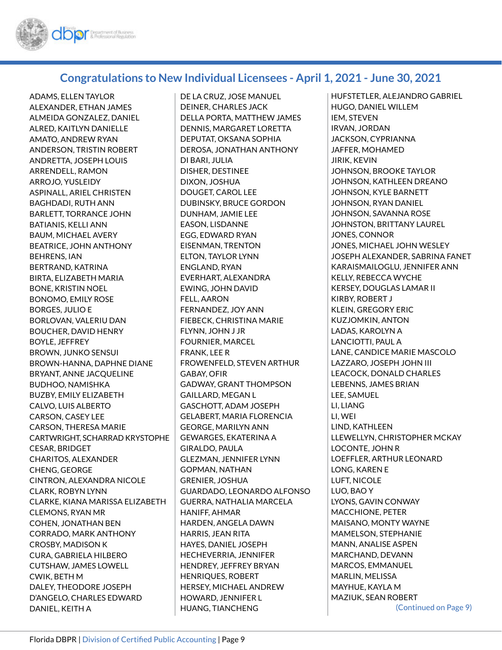

#### **Congratulations to New Individual Licensees - April 1, 2021 - June 30, 2021**

ADAMS, ELLEN TAYLOR ALEXANDER, ETHAN JAMES ALMEIDA GONZALEZ, DANIEL ALRED, KAITLYN DANIELLE AMATO, ANDREW RYAN ANDERSON, TRISTIN ROBERT ANDRETTA, JOSEPH LOUIS ARRENDELL, RAMON ARROJO, YUSLEIDY ASPINALL, ARIEL CHRISTEN BAGHDADI, RUTH ANN BARLETT, TORRANCE JOHN BATIANIS, KELLI ANN BAUM, MICHAEL AVERY BEATRICE, JOHN ANTHONY BEHRENS, IAN BERTRAND, KATRINA BIRTA, ELIZABETH MARIA BONE, KRISTIN NOEL BONOMO, EMILY ROSE BORGES, JULIO E BORLOVAN, VALERIU DAN BOUCHER, DAVID HENRY BOYLE, JEFFREY BROWN, JUNKO SENSUI BROWN-HANNA, DAPHNE DIANE BRYANT, ANNE JACQUELINE BUDHOO, NAMISHKA BUZBY, EMILY ELIZABETH CALVO, LUIS ALBERTO CARSON, CASEY LEE CARSON, THERESA MARIE CARTWRIGHT, SCHARRAD KRYSTOPHE CESAR, BRIDGET CHARITOS, ALEXANDER CHENG, GEORGE CINTRON, ALEXANDRA NICOLE CLARK, ROBYN LYNN CLARKE, KIANA MARISSA ELIZABETH CLEMONS, RYAN MR COHEN, JONATHAN BEN CORRADO, MARK ANTHONY CROSBY, MADISON K CURA, GABRIELA HILBERO CUTSHAW, JAMES LOWELL CWIK, BETH M DALEY, THEODORE JOSEPH D'ANGELO, CHARLES EDWARD DANIEL, KEITH A

DE LA CRUZ, JOSE MANUEL DEINER, CHARLES JACK DELLA PORTA, MATTHEW JAMES DENNIS, MARGARET LORETTA DEPUTAT, OKSANA SOPHIA DEROSA, JONATHAN ANTHONY DI BARI, JULIA DISHER, DESTINEE DIXON, JOSHUA DOUGET, CAROL LEE DUBINSKY, BRUCE GORDON DUNHAM, JAMIE LEE EASON, LISDANNE EGG, EDWARD RYAN EISENMAN, TRENTON ELTON, TAYLOR LYNN ENGLAND, RYAN EVERHART, ALEXANDRA EWING, JOHN DAVID FELL, AARON FERNANDEZ, JOY ANN FIEBECK, CHRISTINA MARIE FLYNN, JOHN J JR FOURNIER, MARCEL FRANK, LEE R FROWENFELD, STEVEN ARTHUR GABAY, OFIR GADWAY, GRANT THOMPSON GAILLARD, MEGAN L GASCHOTT, ADAM JOSEPH GELABERT, MARIA FLORENCIA GEORGE, MARILYN ANN GEWARGES, EKATERINA A GIRALDO, PAULA GLEZMAN, JENNIFER LYNN GOPMAN, NATHAN GRENIER, JOSHUA GUARDADO, LEONARDO ALFONSO GUERRA, NATHALIA MARCELA HANIFF, AHMAR HARDEN, ANGELA DAWN HARRIS, JEAN RITA HAYES, DANIEL JOSEPH HECHEVERRIA, JENNIFER HENDREY, JEFFREY BRYAN HENRIQUES, ROBERT HERSEY, MICHAEL ANDREW HOWARD, JENNIFER L HUANG, TIANCHENG

HUFSTETLER, ALEJANDRO GABRIEL HUGO, DANIEL WILLEM IEM, STEVEN IRVAN, JORDAN JACKSON, CYPRIANNA JAFFER, MOHAMED JIRIK, KEVIN JOHNSON, BROOKE TAYLOR JOHNSON, KATHLEEN DREANO JOHNSON, KYLE BARNETT JOHNSON, RYAN DANIEL JOHNSON, SAVANNA ROSE JOHNSTON, BRITTANY LAUREL JONES, CONNOR JONES, MICHAEL JOHN WESLEY JOSEPH ALEXANDER, SABRINA FANET KARAISMAILOGLU, JENNIFER ANN KELLY, REBECCA WYCHE KERSEY, DOUGLAS LAMAR II KIRBY, ROBERT J KLEIN, GREGORY ERIC KUZJOMKIN, ANTON LADAS, KAROLYN A LANCIOTTI, PAUL A LANE, CANDICE MARIE MASCOLO LAZZARO, JOSEPH JOHN III LEACOCK, DONALD CHARLES LEBENNS, JAMES BRIAN LEE, SAMUEL LI, LIANG LI, WEI LIND, KATHLEEN LLEWELLYN, CHRISTOPHER MCKAY LOCONTE, JOHN R LOEFFLER, ARTHUR LEONARD LONG, KAREN E LUFT, NICOLE LUO, BAO Y LYONS, GAVIN CONWAY MACCHIONE, PETER MAISANO, MONTY WAYNE MAMELSON, STEPHANIE MANN, ANALISE ASPEN MARCHAND, DEVANN MARCOS, EMMANUEL MARLIN, MELISSA MAYHUE, KAYLA M MAZIUK, SEAN ROBERT (Continued on Page 9)